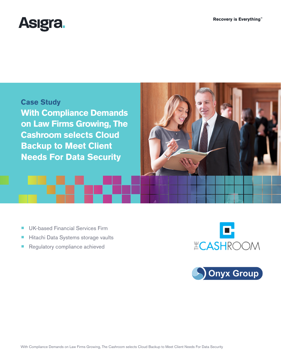





- UK-based Financial Services Firm
- Hitachi Data Systems storage vaults
- Regulatory compliance achieved



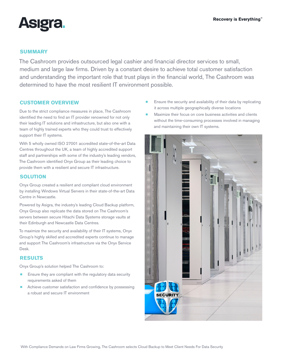

#### **SUMMARY**

The Cashroom provides outsourced legal cashier and financial director services to small, medium and large law firms. Driven by a constant desire to achieve total customer satisfaction and understanding the important role that trust plays in the financial world, The Cashroom was determined to have the most resilient IT environment possible.

# **CUSTOMER OVERVIEW**

Due to the strict compliance measures in place, The Cashroom identified the need to find an IT provider renowned for not only their leading IT solutions and infrastructure, but also one with a team of highly trained experts who they could trust to effectively support their IT systems.

With 5 wholly owned ISO 27001 accredited state-of-the-art Data Centres throughout the UK, a team of highly accredited support staff and partnerships with some of the industry's leading vendors, The Cashroom identified Onyx Group as their leading choice to provide them with a resilient and secure IT infrastructure.

#### **SOLUTION**

Onyx Group created a resilient and compliant cloud environment by installing Windows Virtual Servers in their state-of-the-art Data Centre in Newcastle.

Powered by Asigra, the industry's leading Cloud Backup platform, Onyx Group also replicate the data stored on The Cashroom's servers between secure Hitachi Data Systems storage vaults at their Edinburgh and Newcastle Data Centres.

To maximize the security and availability of their IT systems, Onyx Group's highly skilled and accredited experts continue to manage and support The Cashroom's infrastructure via the Onyx Service Desk.

# **RESULTS**

Onyx Group's solution helped The Cashroom to:

- Ensure they are compliant with the regulatory data security requirements asked of them
- Achieve customer satisfaction and confidence by possessing a robust and secure IT environment
- $\blacksquare$  Ensure the security and availability of their data by replicating it across multiple geographically diverse locations
- Maximize their focus on core business activities and clients without the time-consuming processes involved in managing and maintaining their own IT systems.